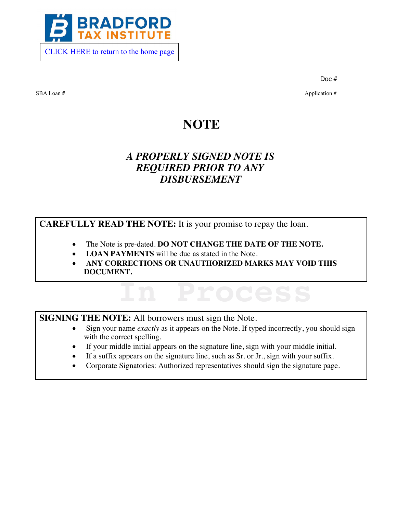

Doc #

SBA Loan # Application # Application # Application # Application # Application #  $\alpha$ 

## **NOTE**

## *A PROPERLY SIGNED NOTE IS REQUIRED PRIOR TO ANY DISBURSEMENT*

**CAREFULLY READ THE NOTE:** It is your promise to repay the loan.

- The Note is pre-dated. DO NOT CHANGE THE DATE OF THE NOTE.
- **LOAN PAYMENTS** will be due as stated in the Note.
- · **ANY CORRECTIONS OR UNAUTHORIZED MARKS MAY VOID THIS DOCUMENT.**

**SIGNING THE NOTE:** All borrowers must sign the Note.

Sign your name *exactly* as it appears on the Note. If typed incorrectly, you should sign with the correct spelling.

**In Process**

- If your middle initial appears on the signature line, sign with your middle initial.
- If a suffix appears on the signature line, such as Sr. or Jr., sign with your suffix.
- · Corporate Signatories: Authorized representatives should sign the signature page.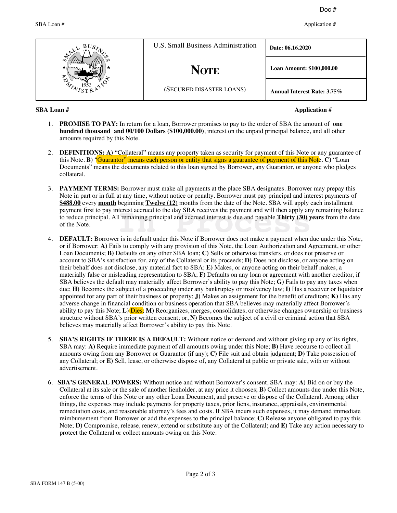SBA Loan # Application # Application # Application # Application # Application #  $\alpha$ 

|  | U.S. Small Business Administration | Date: 06.16.2020                   |
|--|------------------------------------|------------------------------------|
|  | <b>NOTE</b>                        | Loan Amount: \$100,000.00          |
|  | (SECURED DISASTER LOANS)           | <b>Annual Interest Rate: 3.75%</b> |

## **SBA Loan # Application #**

- 1. **PROMISE TO PAY:** In return for a loan, Borrower promises to pay to the order of SBA the amount of **one hundred thousand and 00/100 Dollars (\$100,000.00)**, interest on the unpaid principal balance, and all other amounts required by this Note.
- 2. **DEFINITIONS: A)** "Collateral" means any property taken as security for payment of this Note or any guarantee of this Note. **B**) "Guarantor" means each person or entity that signs a guarantee of payment of this Note. **C**) "Loan Documents'' means the documents related to this loan signed by Borrower, any Guarantor, or anyone who pledges collateral.
- 3. **PAYMENT TERMS:** Borrower must make all payments at the place SBA designates. Borrower may prepay this Note in part or in full at any time, without notice or penalty. Borrower must pay principal and interest payments of **\$488.00** every **month** beginning **Twelve (12)** months from the date of the Note. SBA will apply each installment payment first to pay interest accrued to the day SBA receives the payment and will then apply any remaining balance to reduce principal. All remaining principal and accrued interest is due and payable **Thirty (30) years** from the date of the Note. Interest accrued to the day SBA receives the payment and will then apply and iterest is due and payable **Thirty (30)**  $\bf{y}$ <br>In remaining principal and accrued interest is due and payable **Thirty (30)**  $\bf{y}$ <br>is in defau
- 4. **DEFAULT:** Borrower is in default under this Note if Borrower does not make a payment when due under this Note, or if Borrower: **A)** Fails to comply with any provision of this Note, the Loan Authorization and Agreement, or other Loan Documents; **B)** Defaults on any other SBA loan; **C)** Sells or otherwise transfers, or does not preserve or account to SBA's satisfaction for, any of the Collateral or its proceeds; **D**) Does not disclose, or anyone acting on their behalf does not disclose, any material fact to SBA; **E)** Makes, or anyone acting on their behalf makes, a materially false or misleading representation to SBA; **F)** Defaults on any loan or agreement with another creditor, if SBA believes the default may materially affect Borrower's ability to pay this Note; **G**) Fails to pay any taxes when due; **H)** Becomes the subject of a proceeding under any bankruptcy or insolvency law; **I)** Has a receiver or liquidator appointed for any part of their business or property; **J)** Makes an assignment for the benefit of creditors; **K)** Has any adverse change in financial condition or business operation that SBA believes may materially affect Borrower's ability to pay this Note; **L)** Dies; **M)** Reorganizes, merges, consolidates, or otherwise changes ownership or business structure without SBA's prior written consent; or, **N**) Becomes the subject of a civil or criminal action that SBA believes may materially affect Borrower's ability to pay this Note.
- 5. **SBA'S RIGHTS IF THERE IS A DEFAULT:** Without notice or demand and without giving up any of its rights, SBA may: **A)** Require immediate payment of all amounts owing under this Note; **B)** Have recourse to collect all amounts owing from any Borrower or Guarantor (if any); **C)** File suit and obtain judgment; **D)** Take possession of any Collateral; or **E)** Sell, lease, or otherwise dispose of, any Collateral at public or private sale, with or without advertisement.
- 6. **SBA'S GENERAL POWERS:** Without notice and without Borrower's consent, SBA may: **A**) Bid on or buy the Collateral at its sale or the sale of another lienholder, at any price it chooses; **B)** Collect amounts due under this Note, enforce the terms of this Note or any other Loan Document, and preserve or dispose of the Collateral. Among other things, the expenses may include payments for property taxes, prior liens, insurance, appraisals, environmental remediation costs, and reasonable attorney's fees and costs. If SBA incurs such expenses, it may demand immediate reimbursement from Borrower or add the expenses to the principal balance; **C)** Release anyone obligated to pay this Note; **D)** Compromise, release, renew, extend or substitute any of the Collateral; and **E)** Take any action necessary to protect the Collateral or collect amounts owing on this Note.